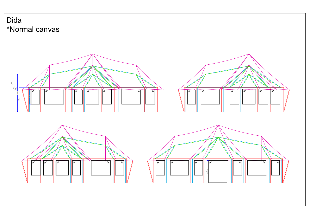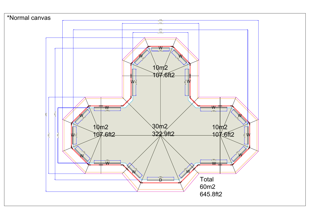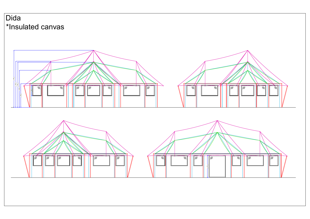

## Dida \*Insulated canvas

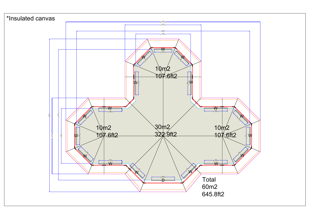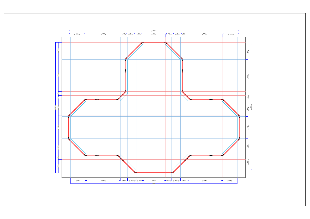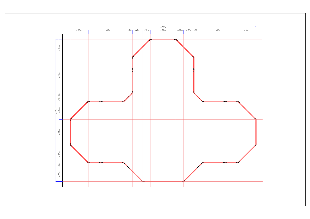